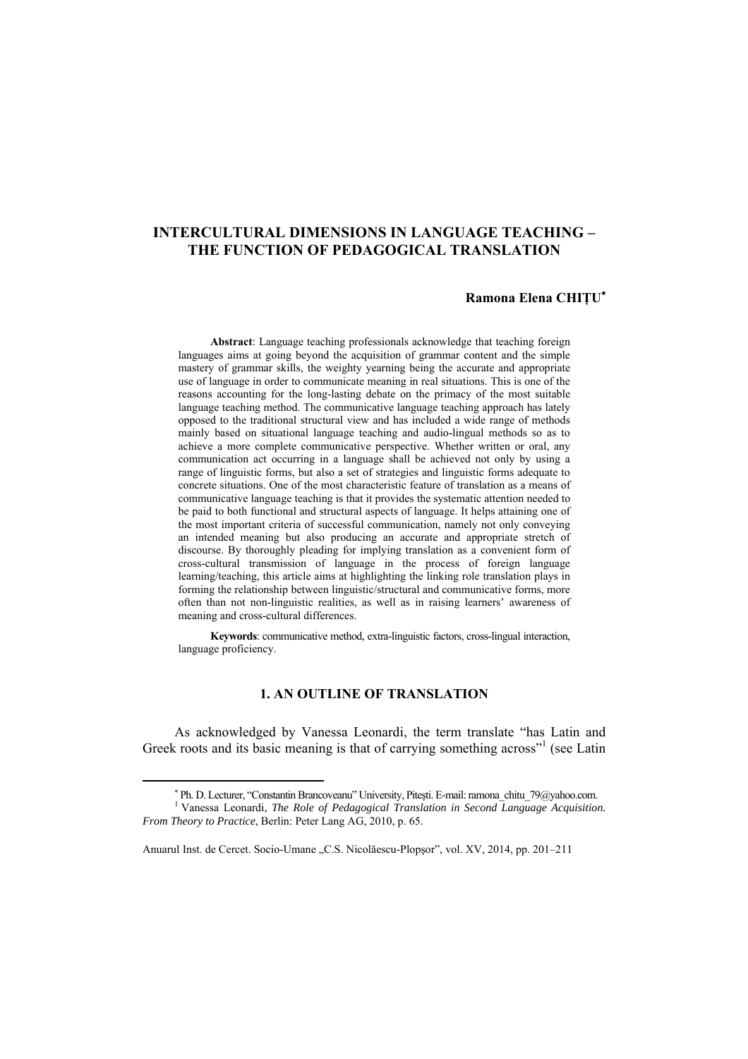# **INTERCULTURAL DIMENSIONS IN LANGUAGE TEACHING – THE FUNCTION OF PEDAGOGICAL TRANSLATION**

# **Ramona Elena CHIŢU**<sup>∗</sup>

**Abstract**: Language teaching professionals acknowledge that teaching foreign languages aims at going beyond the acquisition of grammar content and the simple mastery of grammar skills, the weighty yearning being the accurate and appropriate use of language in order to communicate meaning in real situations. This is one of the reasons accounting for the long-lasting debate on the primacy of the most suitable language teaching method. The communicative language teaching approach has lately opposed to the traditional structural view and has included a wide range of methods mainly based on situational language teaching and audio-lingual methods so as to achieve a more complete communicative perspective. Whether written or oral, any communication act occurring in a language shall be achieved not only by using a range of linguistic forms, but also a set of strategies and linguistic forms adequate to concrete situations. One of the most characteristic feature of translation as a means of communicative language teaching is that it provides the systematic attention needed to be paid to both functional and structural aspects of language. It helps attaining one of the most important criteria of successful communication, namely not only conveying an intended meaning but also producing an accurate and appropriate stretch of discourse. By thoroughly pleading for implying translation as a convenient form of cross-cultural transmission of language in the process of foreign language learning/teaching, this article aims at highlighting the linking role translation plays in forming the relationship between linguistic/structural and communicative forms, more often than not non-linguistic realities, as well as in raising learners' awareness of meaning and cross-cultural differences.

**Keywords**: communicative method, extra-linguistic factors, cross-lingual interaction, language proficiency.

# **1. AN OUTLINE OF TRANSLATION**

As acknowledged by Vanessa Leonardi, the term translate "has Latin and Greek roots and its basic meaning is that of carrying something across"<sup>1</sup> (see Latin

<sup>∗</sup> Ph. D. Lecturer, "Constantin Brancoveanu" University, Piteşti. E-mail: ramona\_chitu\_79@yahoo.com. 1

Vanessa Leonardi, *The Role of Pedagogical Translation in Second Language Acquisition. From Theory to Practice*, Berlin: Peter Lang AG, 2010, p. 65.

Anuarul Inst. de Cercet. Socio-Umane "C.S. Nicolăescu-Plopsor", vol. XV, 2014, pp. 201–211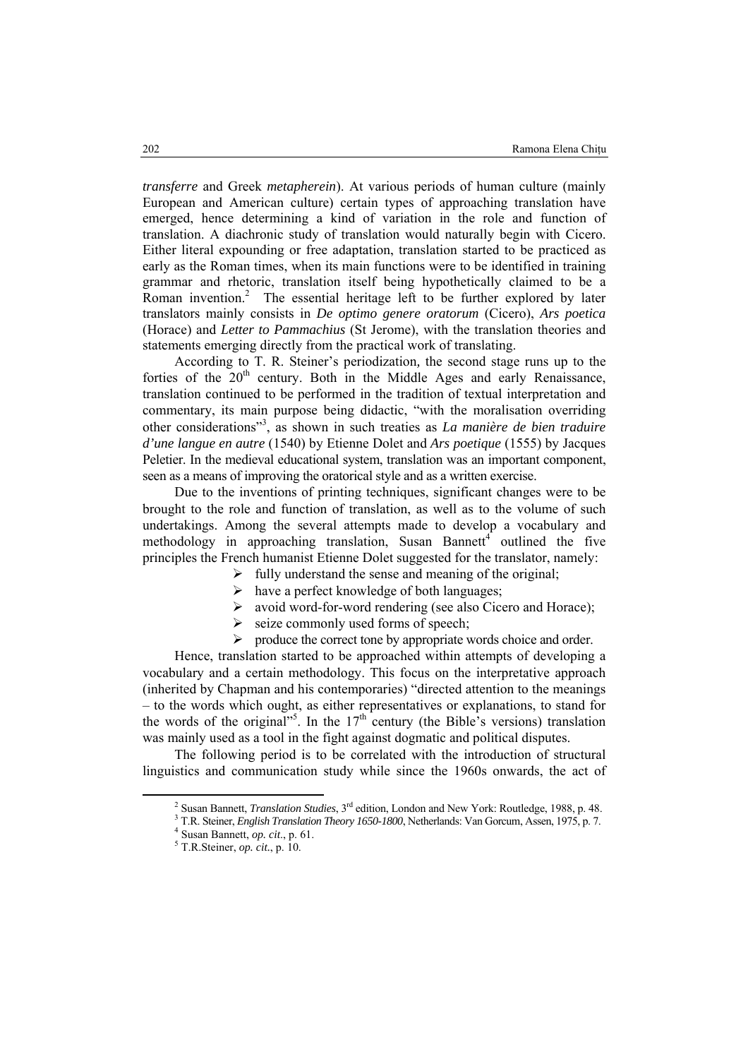*transferre* and Greek *metapherein*). At various periods of human culture (mainly European and American culture) certain types of approaching translation have emerged, hence determining a kind of variation in the role and function of translation. A diachronic study of translation would naturally begin with Cicero. Either literal expounding or free adaptation, translation started to be practiced as early as the Roman times, when its main functions were to be identified in training grammar and rhetoric, translation itself being hypothetically claimed to be a Roman invention.<sup>2</sup> The essential heritage left to be further explored by later translators mainly consists in *De optimo genere oratorum* (Cicero), *Ars poetica* (Horace) and *Letter to Pammachius* (St Jerome), with the translation theories and statements emerging directly from the practical work of translating.

According to T. R. Steiner's periodization*,* the second stage runs up to the forties of the 20<sup>th</sup> century. Both in the Middle Ages and early Renaissance, translation continued to be performed in the tradition of textual interpretation and commentary, its main purpose being didactic, "with the moralisation overriding other considerations"3 , as shown in such treaties as *La manière de bien traduire d'une langue en autre* (1540) by Etienne Dolet and *Ars poetique* (1555) by Jacques Peletier. In the medieval educational system, translation was an important component, seen as a means of improving the oratorical style and as a written exercise.

Due to the inventions of printing techniques, significant changes were to be brought to the role and function of translation, as well as to the volume of such undertakings. Among the several attempts made to develop a vocabulary and methodology in approaching translation, Susan Bannett<sup>4</sup> outlined the five principles the French humanist Etienne Dolet suggested for the translator, namely:

- $\triangleright$  fully understand the sense and meaning of the original;
- $\triangleright$  have a perfect knowledge of both languages;
- ¾ avoid word-for-word rendering (see also Cicero and Horace);
- $\triangleright$  seize commonly used forms of speech;
- $\triangleright$  produce the correct tone by appropriate words choice and order.

Hence, translation started to be approached within attempts of developing a vocabulary and a certain methodology. This focus on the interpretative approach (inherited by Chapman and his contemporaries) "directed attention to the meanings – to the words which ought, as either representatives or explanations, to stand for the words of the original"<sup>5</sup>. In the  $17<sup>th</sup>$  century (the Bible's versions) translation was mainly used as a tool in the fight against dogmatic and political disputes.

The following period is to be correlated with the introduction of structural linguistics and communication study while since the 1960s onwards, the act of

<sup>&</sup>lt;sup>2</sup> Susan Bannatt *Translation* Study <sup>2</sup> Susan Bannett, *Translation Studies*, 3<sup>rd</sup> edition, London and New York: Routledge, 1988, p. 48.<br><sup>3</sup> T.P. Steiner, *English Translation Theory 1650, 1800*, Natherlands: Van Geraum, Assen, 1975, p. 7.

T.R. Steiner, *English Translation Theory 1650-1800*, Netherlands: Van Gorcum, Assen, 1975, p. 7. 4

 $4$  Susan Bannett, *op. cit.*, p. 61.

T.R.Steiner, *op. cit.*, p. 10.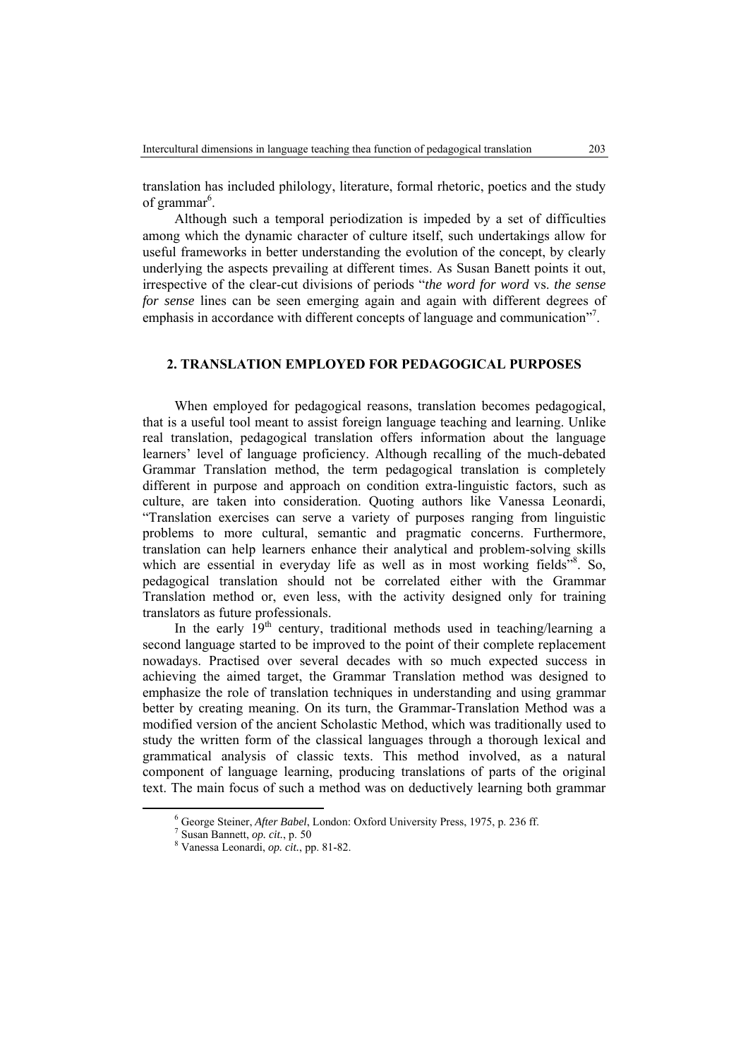translation has included philology, literature, formal rhetoric, poetics and the study of grammar<sup>6</sup>.

Although such a temporal periodization is impeded by a set of difficulties among which the dynamic character of culture itself, such undertakings allow for useful frameworks in better understanding the evolution of the concept, by clearly underlying the aspects prevailing at different times. As Susan Banett points it out, irrespective of the clear-cut divisions of periods "*the word for word* vs. *the sense for sense* lines can be seen emerging again and again with different degrees of emphasis in accordance with different concepts of language and communication"<sup>7</sup>.

# **2. TRANSLATION EMPLOYED FOR PEDAGOGICAL PURPOSES**

When employed for pedagogical reasons, translation becomes pedagogical, that is a useful tool meant to assist foreign language teaching and learning. Unlike real translation, pedagogical translation offers information about the language learners' level of language proficiency. Although recalling of the much-debated Grammar Translation method, the term pedagogical translation is completely different in purpose and approach on condition extra-linguistic factors, such as culture, are taken into consideration. Quoting authors like Vanessa Leonardi, "Translation exercises can serve a variety of purposes ranging from linguistic problems to more cultural, semantic and pragmatic concerns. Furthermore, translation can help learners enhance their analytical and problem-solving skills which are essential in everyday life as well as in most working fields"<sup>8</sup>. So, pedagogical translation should not be correlated either with the Grammar Translation method or, even less, with the activity designed only for training translators as future professionals.

In the early  $19<sup>th</sup>$  century, traditional methods used in teaching/learning a second language started to be improved to the point of their complete replacement nowadays. Practised over several decades with so much expected success in achieving the aimed target, the Grammar Translation method was designed to emphasize the role of translation techniques in understanding and using grammar better by creating meaning. On its turn, the Grammar-Translation Method was a modified version of the ancient Scholastic Method, which was traditionally used to study the written form of the classical languages through a thorough lexical and grammatical analysis of classic texts. This method involved, as a natural component of language learning, producing translations of parts of the original text. The main focus of such a method was on deductively learning both grammar

 $\frac{6}{6}$  George Steiner After Pahel I. <sup>6</sup> George Steiner, *After Babel*, London: Oxford University Press, 1975, p. 236 ff. 7 Susen Bannett, an  $50$ 

 $\frac{7}{1}$  Susan Bannett, *op. cit.*, p. 50

Vanessa Leonardi, *op. cit.*, pp. 81-82.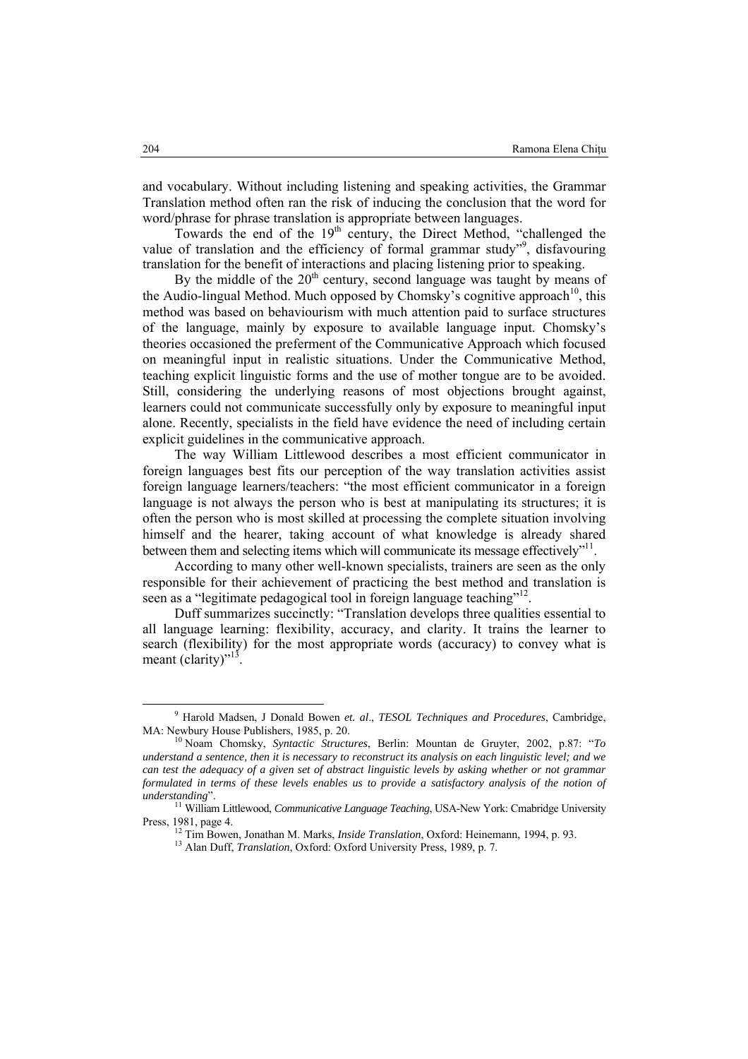and vocabulary. Without including listening and speaking activities, the Grammar Translation method often ran the risk of inducing the conclusion that the word for word/phrase for phrase translation is appropriate between languages.

Towards the end of the 19<sup>th</sup> century, the Direct Method, "challenged the value of translation and the efficiency of formal grammar study", disfavouring translation for the benefit of interactions and placing listening prior to speaking.

By the middle of the  $20<sup>th</sup>$  century, second language was taught by means of the Audio-lingual Method. Much opposed by Chomsky's cognitive approach<sup>10</sup>, this method was based on behaviourism with much attention paid to surface structures of the language, mainly by exposure to available language input. Chomsky's theories occasioned the preferment of the Communicative Approach which focused on meaningful input in realistic situations. Under the Communicative Method, teaching explicit linguistic forms and the use of mother tongue are to be avoided. Still, considering the underlying reasons of most objections brought against, learners could not communicate successfully only by exposure to meaningful input alone. Recently, specialists in the field have evidence the need of including certain explicit guidelines in the communicative approach.

The way William Littlewood describes a most efficient communicator in foreign languages best fits our perception of the way translation activities assist foreign language learners/teachers: "the most efficient communicator in a foreign language is not always the person who is best at manipulating its structures; it is often the person who is most skilled at processing the complete situation involving himself and the hearer, taking account of what knowledge is already shared between them and selecting items which will communicate its message effectively"<sup>11</sup>.

According to many other well-known specialists, trainers are seen as the only responsible for their achievement of practicing the best method and translation is seen as a "legitimate pedagogical tool in foreign language teaching"<sup>12</sup>.

Duff summarizes succinctly: "Translation develops three qualities essential to all language learning: flexibility, accuracy, and clarity. It trains the learner to search (flexibility) for the most appropriate words (accuracy) to convey what is meant (clarity)"<sup>13</sup>

 <sup>9</sup> Harold Madsen, J Donald Bowen *et. al*., *TESOL Techniques and Procedures*, Cambridge, MA: Newbury House Publishers, 1985, p. 20. 10 Noam Chomsky, *Syntactic Structures*, Berlin: Mountan de Gruyter, 2002, p.87: "*To* 

*understand a sentence, then it is necessary to reconstruct its analysis on each linguistic level; and we can test the adequacy of a given set of abstract linguistic levels by asking whether or not grammar formulated in terms of these levels enables us to provide a satisfactory analysis of the notion of understanding*". 11 William Littlewood, *Communicative Language Teaching*, USA-New York: Cmabridge University

Press, 1981, page 4. 12 Tim Bowen, Jonathan M. Marks, *Inside Translation*, Oxford: Heinemann, 1994, p. 93. 13 Alan Duff, *Translation*, Oxford: Oxford University Press, 1989, p. 7.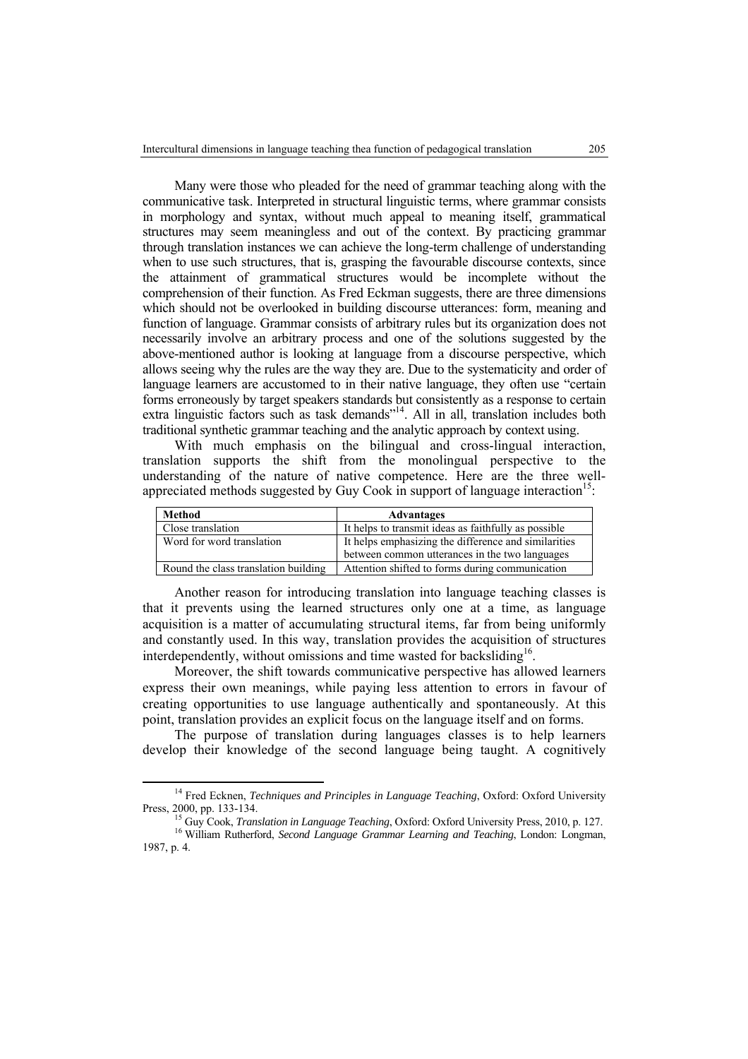Many were those who pleaded for the need of grammar teaching along with the communicative task. Interpreted in structural linguistic terms, where grammar consists in morphology and syntax, without much appeal to meaning itself, grammatical structures may seem meaningless and out of the context. By practicing grammar through translation instances we can achieve the long-term challenge of understanding when to use such structures, that is, grasping the favourable discourse contexts, since the attainment of grammatical structures would be incomplete without the comprehension of their function. As Fred Eckman suggests, there are three dimensions which should not be overlooked in building discourse utterances: form, meaning and function of language. Grammar consists of arbitrary rules but its organization does not necessarily involve an arbitrary process and one of the solutions suggested by the above-mentioned author is looking at language from a discourse perspective, which allows seeing why the rules are the way they are. Due to the systematicity and order of language learners are accustomed to in their native language, they often use "certain forms erroneously by target speakers standards but consistently as a response to certain extra linguistic factors such as task demands"<sup>14</sup>. All in all, translation includes both traditional synthetic grammar teaching and the analytic approach by context using.

With much emphasis on the bilingual and cross-lingual interaction, translation supports the shift from the monolingual perspective to the understanding of the nature of native competence. Here are the three wellappreciated methods suggested by Guy Cook in support of language interaction<sup>15</sup>:

| Method                               | <b>Advantages</b>                                    |
|--------------------------------------|------------------------------------------------------|
| Close translation                    | It helps to transmit ideas as faithfully as possible |
| Word for word translation            | It helps emphasizing the difference and similarities |
|                                      | between common utterances in the two languages       |
| Round the class translation building | Attention shifted to forms during communication      |

Another reason for introducing translation into language teaching classes is that it prevents using the learned structures only one at a time, as language acquisition is a matter of accumulating structural items, far from being uniformly and constantly used. In this way, translation provides the acquisition of structures interdependently, without omissions and time wasted for backsliding<sup>16</sup>.

Moreover, the shift towards communicative perspective has allowed learners express their own meanings, while paying less attention to errors in favour of creating opportunities to use language authentically and spontaneously. At this point, translation provides an explicit focus on the language itself and on forms.

The purpose of translation during languages classes is to help learners develop their knowledge of the second language being taught. A cognitively

<sup>&</sup>lt;sup>14</sup> Fred Ecknen, *Techniques and Principles in Language Teaching*, Oxford: Oxford University Press, 2000, pp. 133-134. 15 Guy Cook, *Translation in Language Teaching*, Oxford: Oxford University Press, 2010, p. 127. 16 William Rutherford, *Second Language Grammar Learning and Teaching*, London: Longman,

<sup>1987,</sup> p. 4.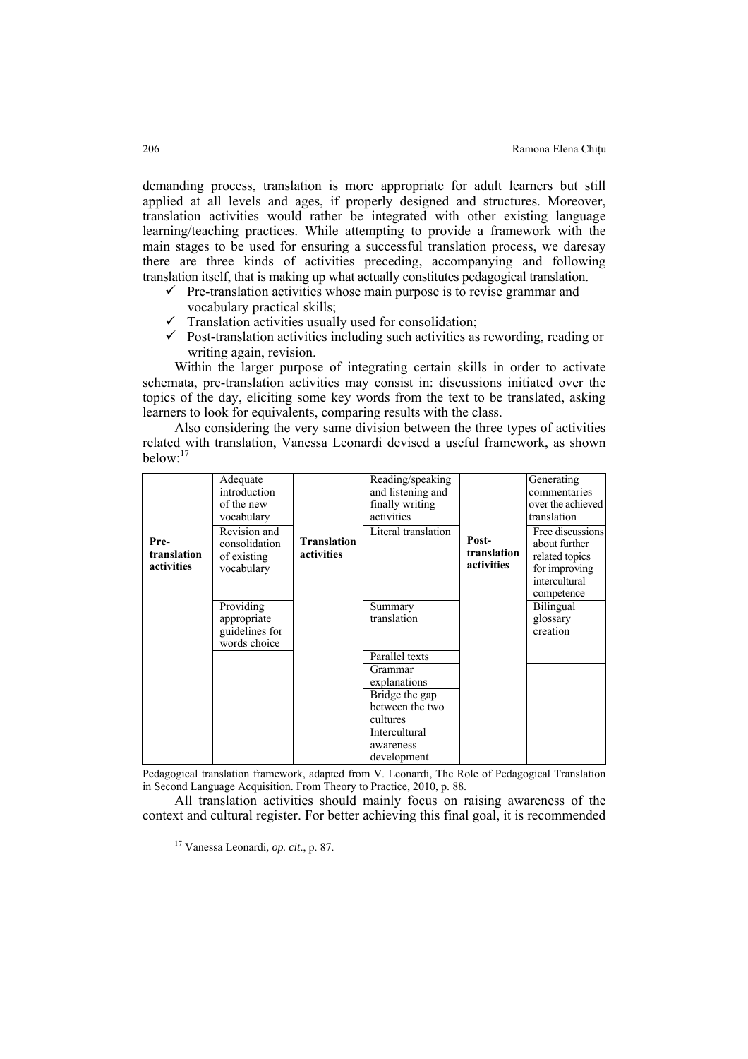demanding process, translation is more appropriate for adult learners but still applied at all levels and ages, if properly designed and structures. Moreover, translation activities would rather be integrated with other existing language learning/teaching practices. While attempting to provide a framework with the main stages to be used for ensuring a successful translation process, we daresay there are three kinds of activities preceding, accompanying and following translation itself, that is making up what actually constitutes pedagogical translation.

- $\checkmark$  Pre-translation activities whose main purpose is to revise grammar and vocabulary practical skills;
- $\checkmark$  Translation activities usually used for consolidation;
- $\checkmark$  Post-translation activities including such activities as rewording, reading or writing again, revision.

Within the larger purpose of integrating certain skills in order to activate schemata, pre-translation activities may consist in: discussions initiated over the topics of the day, eliciting some key words from the text to be translated, asking learners to look for equivalents, comparing results with the class.

Also considering the very same division between the three types of activities related with translation, Vanessa Leonardi devised a useful framework, as shown  $helow<sup>.17</sup>$ 

| Pre-<br>translation<br>activities | Adequate<br>introduction<br>of the new<br>vocabulary<br>Revision and<br>consolidation<br>of existing<br>vocabulary | <b>Translation</b><br>activities | Reading/speaking<br>and listening and<br>finally writing<br>activities<br>Literal translation | Post-<br>translation<br>activities | Generating<br>commentaries<br>over the achieved<br>translation<br>Free discussions<br>about further<br>related topics<br>for improving<br>intercultural<br>competence |
|-----------------------------------|--------------------------------------------------------------------------------------------------------------------|----------------------------------|-----------------------------------------------------------------------------------------------|------------------------------------|-----------------------------------------------------------------------------------------------------------------------------------------------------------------------|
|                                   | Providing<br>appropriate                                                                                           |                                  | Summary<br>translation                                                                        |                                    | <b>Bilingual</b><br>glossary                                                                                                                                          |
|                                   | guidelines for<br>words choice                                                                                     |                                  |                                                                                               |                                    | creation                                                                                                                                                              |
|                                   |                                                                                                                    |                                  | Parallel texts                                                                                |                                    |                                                                                                                                                                       |
|                                   |                                                                                                                    |                                  | Grammar                                                                                       |                                    |                                                                                                                                                                       |
|                                   |                                                                                                                    |                                  | explanations                                                                                  |                                    |                                                                                                                                                                       |
|                                   |                                                                                                                    |                                  | Bridge the gap                                                                                |                                    |                                                                                                                                                                       |
|                                   |                                                                                                                    |                                  | between the two                                                                               |                                    |                                                                                                                                                                       |
|                                   |                                                                                                                    |                                  | cultures<br>Intercultural                                                                     |                                    |                                                                                                                                                                       |
|                                   |                                                                                                                    |                                  | awareness                                                                                     |                                    |                                                                                                                                                                       |
|                                   |                                                                                                                    |                                  | development                                                                                   |                                    |                                                                                                                                                                       |

Pedagogical translation framework, adapted from V. Leonardi, The Role of Pedagogical Translation in Second Language Acquisition. From Theory to Practice, 2010, p. 88.

All translation activities should mainly focus on raising awareness of the context and cultural register. For better achieving this final goal, it is recommended

 17 Vanessa Leonardi*, op. cit*., p. 87.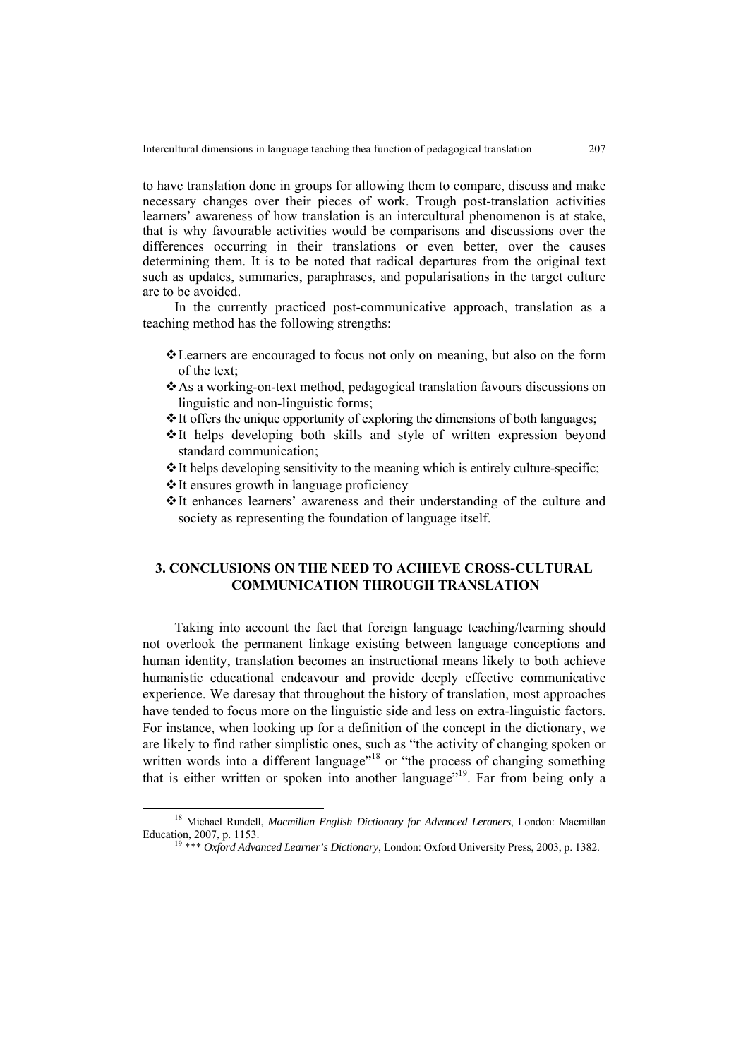to have translation done in groups for allowing them to compare, discuss and make necessary changes over their pieces of work. Trough post-translation activities learners' awareness of how translation is an intercultural phenomenon is at stake, that is why favourable activities would be comparisons and discussions over the differences occurring in their translations or even better, over the causes determining them. It is to be noted that radical departures from the original text such as updates, summaries, paraphrases, and popularisations in the target culture are to be avoided.

In the currently practiced post-communicative approach, translation as a teaching method has the following strengths:

- Learners are encouraged to focus not only on meaning, but also on the form of the text;
- As a working-on-text method, pedagogical translation favours discussions on linguistic and non-linguistic forms;
- It offers the unique opportunity of exploring the dimensions of both languages;
- It helps developing both skills and style of written expression beyond standard communication;
- It helps developing sensitivity to the meaning which is entirely culture-specific;
- $*$  It ensures growth in language proficiency
- It enhances learners' awareness and their understanding of the culture and society as representing the foundation of language itself.

# **3. CONCLUSIONS ON THE NEED TO ACHIEVE CROSS-CULTURAL COMMUNICATION THROUGH TRANSLATION**

Taking into account the fact that foreign language teaching/learning should not overlook the permanent linkage existing between language conceptions and human identity, translation becomes an instructional means likely to both achieve humanistic educational endeavour and provide deeply effective communicative experience. We daresay that throughout the history of translation, most approaches have tended to focus more on the linguistic side and less on extra-linguistic factors. For instance, when looking up for a definition of the concept in the dictionary, we are likely to find rather simplistic ones, such as "the activity of changing spoken or written words into a different language"<sup>18</sup> or "the process of changing something that is either written or spoken into another language"19. Far from being only a

 18 Michael Rundell, *Macmillan English Dictionary for Advanced Leraners*, London: Macmillan Education, 2007, p. 1153. 19 \*\*\* *Oxford Advanced Learner's Dictionary*, London: Oxford University Press, 2003, p. 1382.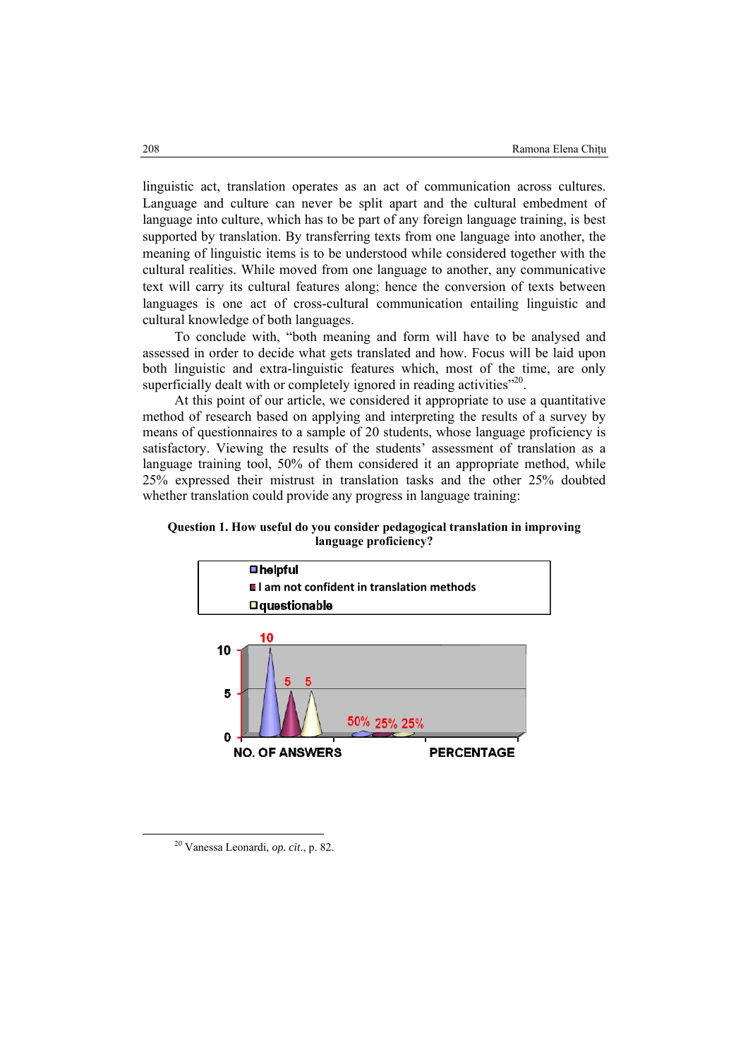linguistic act, translation operates as an act of communication across cultures. Language and culture can never be split apart and the cultural embedment of language into culture, which has to be part of any foreign language training, is best supported by translation. By transferring texts from one language into another, the meaning of linguistic items is to be understood while considered together with the cultural realities. While moved from one language to another, any communicative text will carry its cultural features along; hence the conversion of texts between languages is one act of cross-cultural communication entailing linguistic and cultural knowledge of both languages.

To conclude with, "both meaning and form will have to be analysed and assessed in order to decide what gets translated and how. Focus will be laid upon both linguistic and extra-linguistic features which, most of the time, are only superficially dealt with or completely ignored in reading activities"<sup>20</sup>.

At this point of our article, we considered it appropriate to use a quantitative method of research based on applying and interpreting the results of a survey by means of questionnaires to a sample of 20 students, whose language proficiency is satisfactory. Viewing the results of the students' assessment of translation as a language training tool, 50% of them considered it an appropriate method, while 25% expressed their mistrust in translation tasks and the other 25% doubted whether translation could provide any progress in language training:

**Question 1. How useful do you consider pedagogical translation in improving language proficiency?**



 20 Vanessa Leonardi, *op. cit*., p. 82.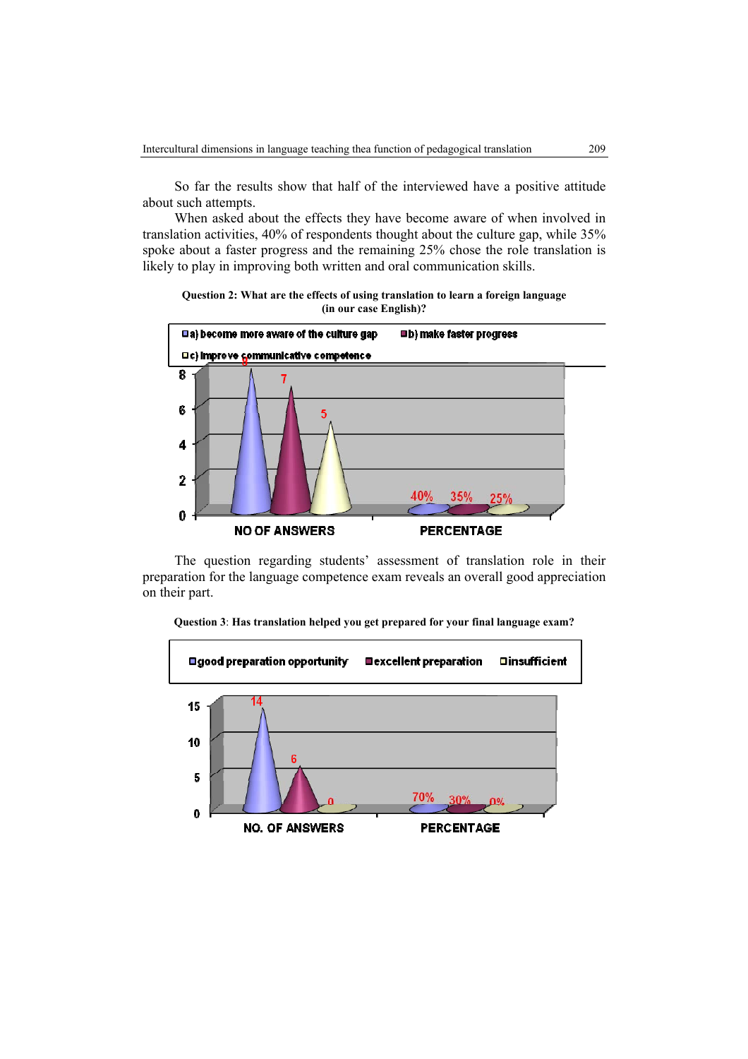So far the results show that half of the interviewed have a positive attitude about such attempts.

When asked about the effects they have become aware of when involved in translation activities, 40% of respondents thought about the culture gap, while 35% spoke about a faster progress and the remaining 25% chose the role translation is likely to play in improving both written and oral communication skills.

**Question 2: What are the effects of using translation to learn a foreign language (in our case English)?**



The question regarding students' assessment of translation role in their preparation for the language competence exam reveals an overall good appreciation on their part.

**Question 3**: **Has translation helped you get prepared for your final language exam?**

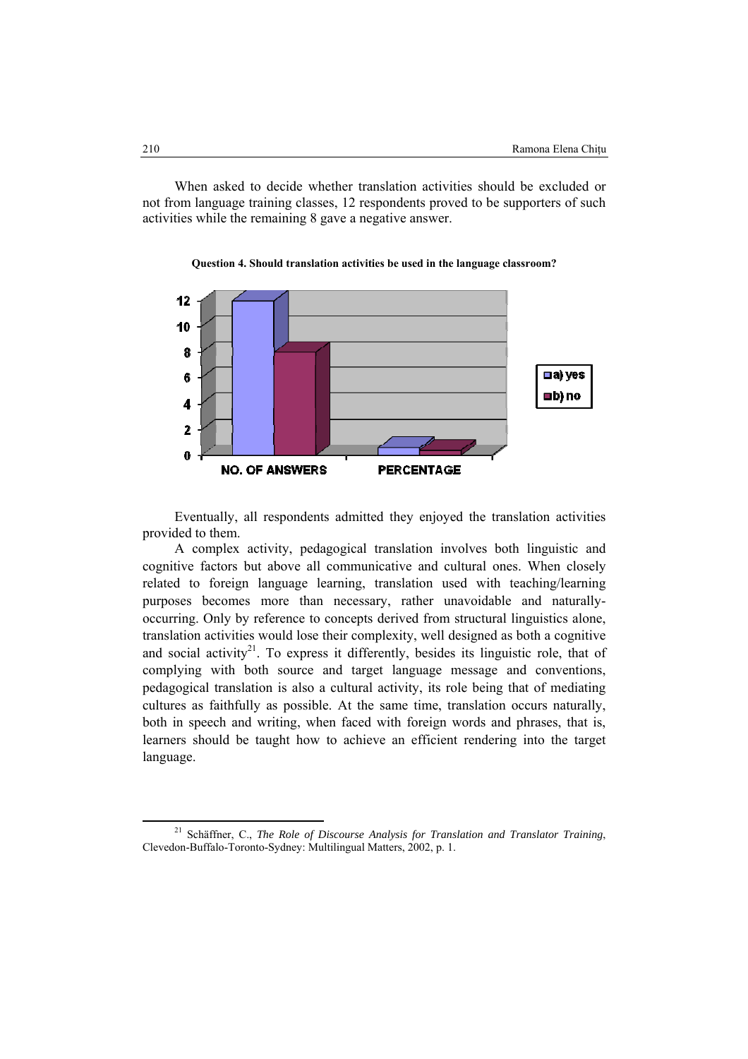When asked to decide whether translation activities should be excluded or not from language training classes, 12 respondents proved to be supporters of such activities while the remaining 8 gave a negative answer.



**Question 4. Should translation activities be used in the language classroom?** 

Eventually, all respondents admitted they enjoyed the translation activities provided to them.

A complex activity, pedagogical translation involves both linguistic and cognitive factors but above all communicative and cultural ones. When closely related to foreign language learning, translation used with teaching/learning purposes becomes more than necessary, rather unavoidable and naturallyoccurring. Only by reference to concepts derived from structural linguistics alone, translation activities would lose their complexity, well designed as both a cognitive and social activity<sup>21</sup>. To express it differently, besides its linguistic role, that of complying with both source and target language message and conventions, pedagogical translation is also a cultural activity, its role being that of mediating cultures as faithfully as possible. At the same time, translation occurs naturally, both in speech and writing, when faced with foreign words and phrases, that is, learners should be taught how to achieve an efficient rendering into the target language.

 21 Schäffner, C., *The Role of Discourse Analysis for Translation and Translator Training*, Clevedon-Buffalo-Toronto-Sydney: Multilingual Matters, 2002, p. 1.